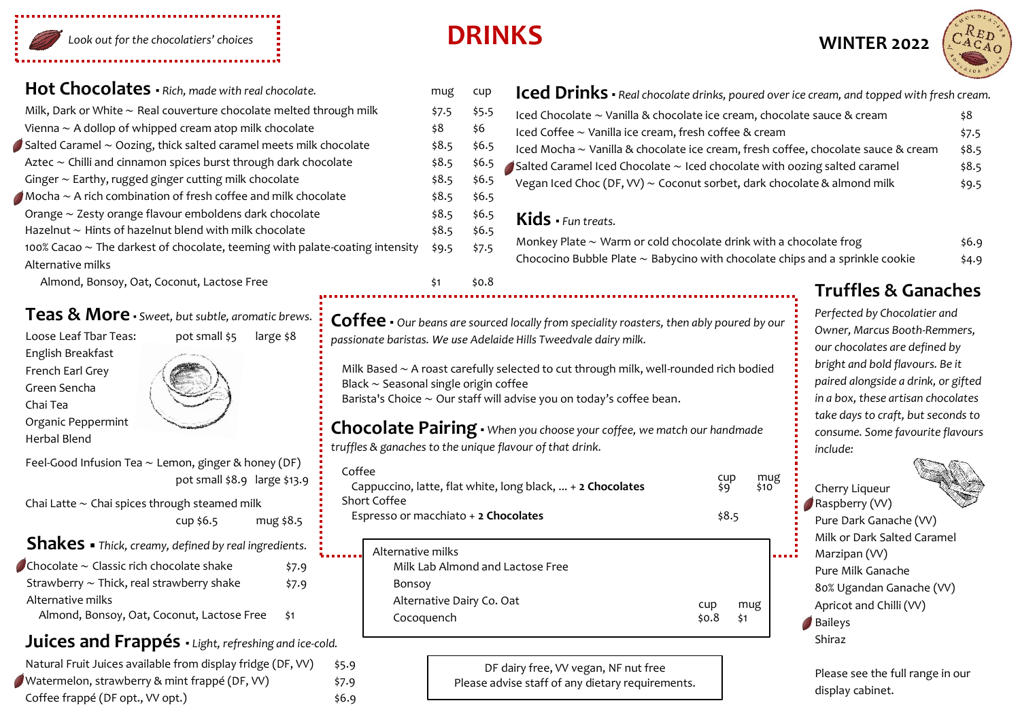

## **Hot Chocolates •** *Rich. made with real chocolate.* mug cup

| Milk, Dark or White $\sim$ Real couverture chocolate melted through milk             | \$7.5 | \$5.5 |
|--------------------------------------------------------------------------------------|-------|-------|
| Vienna $\sim$ A dollop of whipped cream atop milk chocolate                          | \$8   | \$6   |
| $\mathsf{I}$ Salted Caramel $\sim$ Oozing, thick salted caramel meets milk chocolate | \$8.5 | \$6.5 |
| Aztec $\sim$ Chilli and cinnamon spices burst through dark chocolate                 | \$8.5 | \$6.5 |
| Ginger $\sim$ Earthy, rugged ginger cutting milk chocolate                           | \$8.5 | \$6.5 |
| Mocha $\sim$ A rich combination of fresh coffee and milk chocolate                   |       | \$6.5 |
| Orange $\sim$ Zesty orange flavour emboldens dark chocolate                          | \$8.5 | \$6.5 |
| Hazelnut $\sim$ Hints of hazelnut blend with milk chocolate                          | \$8.5 | \$6.5 |
| 100% Cacao $\sim$ The darkest of chocolate, teeming with palate-coating intensity    | \$9.5 | \$7.5 |
| Alternative milks                                                                    |       |       |

## **Teas & More ▪** *Sweet, but subtle, aromatic brews.*

Loose Leaf Tbar Teas: pot small \$5 large \$8 English Breakfast French Earl Grey Green Sencha Chai Tea



Organic Peppermint Herbal Blend



Chai Latte ∼ Chai spices through steamed milk cup \$6.5 mug \$8.5

**Shakes** ▪ *Thick, creamy, defined by real ingredients.*

Chocolate ∼ Classic rich chocolate shake \$7.9 Strawberry ∼ Thick, real strawberry shake \$7.9 Alternative milks Almond, Bonsoy, Oat, Coconut, Lactose Free \$1

## **Juices and Frappés ▪** *Light, refreshing and ice-cold.*

| Natural Fruit Juices available from display fridge (DF, VV) | \$5.9 |
|-------------------------------------------------------------|-------|
| Watermelon, strawberry & mint frappé (DF, VV)               | \$7.9 |
| Coffee frappé (DF opt., VV opt.)                            | \$6.9 |

# **DRINKS**



| cup         | Iced Drinks • Real chocolate drinks, poured over ice cream, and topped with fresh cream.   |       |  |
|-------------|--------------------------------------------------------------------------------------------|-------|--|
| \$5.5       | Iced Chocolate ~ Vanilla & chocolate ice cream, chocolate sauce & cream                    | 58    |  |
| \$6         | Iced Coffee ~ Vanilla ice cream, fresh coffee & cream                                      | \$7.5 |  |
| \$6.5       | Iced Mocha ~ Vanilla & chocolate ice cream, fresh coffee, chocolate sauce & cream          | \$8.5 |  |
| \$6.5       | $\triangle$ Salted Caramel Iced Chocolate $\sim$ Iced chocolate with oozing salted caramel | \$8.5 |  |
| \$6.5       | Vegan Iced Choc (DF, VV) $\sim$ Coconut sorbet, dark chocolate & almond milk               | \$9.5 |  |
| \$6.5       |                                                                                            |       |  |
| <b>ረ6 ⊑</b> |                                                                                            |       |  |

## **Kids ▪** *Fun treats.*

| Monkey Plate $\sim$ Warm or cold chocolate drink with a chocolate frog                 | \$6.9 |
|----------------------------------------------------------------------------------------|-------|
| Chococino Bubble Plate $\sim$ Babycino with chocolate chips and a sprinkle cookie $\,$ | \$4.9 |

mug<br>\$10

## Almond, Bonsoy, Oat, Coconut, Lactose Free **1992 12: 1000 million** \$1 \$0.8 **Truffles & Ganaches**

**Coffee ▪** *Our beans are sourced locally from speciality roasters, then ably poured by our passionate baristas. We use Adelaide Hills Tweedvale dairy milk.*

Milk Based ∼ A roast carefully selected to cut through milk, well-rounded rich bodied Black ∼ Seasonal single origin coffee

Barista's Choice ∼ Our staff will advise you on today's coffee bean.

## **Chocolate Pairing ▪** *When you choose your coffee, we match our handmade truffles & ganaches to the unique flavour of that drink.*

 Coffee cup<br>Cappuccino, latte, flat white, long black, ... + **2 Chocolates**  $\begin{array}{c} \text{cup} \\ \text{sum} \end{array}$  Short Coffee Espresso or macchiato + 2 Chocolates  $\frac{1}{58.5}$ 

| Alternative milks<br>Milk Lab Almond and Lactose Free |       |     |
|-------------------------------------------------------|-------|-----|
| Bonsoy                                                |       |     |
| Alternative Dairy Co. Oat                             | cup   | mug |
| Cocoquench                                            | \$0.8 | \$1 |
|                                                       |       |     |

DF dairy free, VV vegan, NF nut free Please advise staff of any dietary requirements.

*Perfected by Chocolatier and Owner, Marcus Booth-Remmers, our chocolates are defined by bright and bold flavours. Be it paired alongside a drink, or gifted in a box, these artisan chocolates take days to craft, but seconds to consume. Some favourite flavours include:*



Please see the full range in our display cabinet.